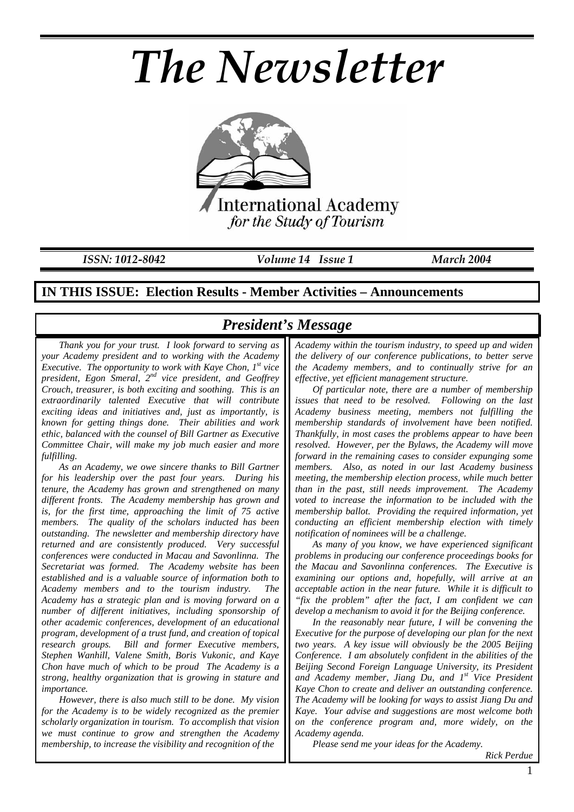# *The Newsletter*



*ISSN: 1012-8042 Volume 14 Issue 1 March 2004* 

### **IN THIS ISSUE: Election Results - Member Activities – Announcements**

## *President's Message*

*Thank you for your trust. I look forward to serving as your Academy president and to working with the Academy Executive. The opportunity to work with Kaye Chon, 1st vice president, Egon Smeral, 2nd vice president, and Geoffrey Crouch, treasurer, is both exciting and soothing. This is an extraordinarily talented Executive that will contribute exciting ideas and initiatives and, just as importantly, is known for getting things done. Their abilities and work ethic, balanced with the counsel of Bill Gartner as Executive Committee Chair, will make my job much easier and more fulfilling.* 

*As an Academy, we owe sincere thanks to Bill Gartner for his leadership over the past four years. During his tenure, the Academy has grown and strengthened on many different fronts. The Academy membership has grown and is, for the first time, approaching the limit of 75 active members. The quality of the scholars inducted has been outstanding. The newsletter and membership directory have returned and are consistently produced. Very successful conferences were conducted in Macau and Savonlinna. The Secretariat was formed. The Academy website has been established and is a valuable source of information both to Academy members and to the tourism industry. The Academy has a strategic plan and is moving forward on a number of different initiatives, including sponsorship of other academic conferences, development of an educational program, development of a trust fund, and creation of topical research groups. Bill and former Executive members, Stephen Wanhill, Valene Smith, Boris Vukonic, and Kaye Chon have much of which to be proud The Academy is a strong, healthy organization that is growing in stature and importance.* 

*However, there is also much still to be done. My vision for the Academy is to be widely recognized as the premier scholarly organization in tourism. To accomplish that vision we must continue to grow and strengthen the Academy membership, to increase the visibility and recognition of the* 

# *Academy within the tourism industry, to speed up and widen the delivery of our conference publications, to better serve*

*the Academy members, and to continually strive for an effective, yet efficient management structure. Of particular note, there are a number of membership* 

*issues that need to be resolved. Following on the last Academy business meeting, members not fulfilling the membership standards of involvement have been notified. Thankfully, in most cases the problems appear to have been resolved. However, per the Bylaws, the Academy will move forward in the remaining cases to consider expunging some members. Also, as noted in our last Academy business meeting, the membership election process, while much better than in the past, still needs improvement. The Academy voted to increase the information to be included with the membership ballot. Providing the required information, yet conducting an efficient membership election with timely notification of nominees will be a challenge.* 

*As many of you know, we have experienced significant problems in producing our conference proceedings books for the Macau and Savonlinna conferences. The Executive is examining our options and, hopefully, will arrive at an acceptable action in the near future. While it is difficult to "fix the problem" after the fact, I am confident we can develop a mechanism to avoid it for the Beijing conference.* 

*In the reasonably near future, I will be convening the Executive for the purpose of developing our plan for the next two years. A key issue will obviously be the 2005 Beijing Conference. I am absolutely confident in the abilities of the Beijing Second Foreign Language University, its President and Academy member, Jiang Du, and 1st Vice President Kaye Chon to create and deliver an outstanding conference. The Academy will be looking for ways to assist Jiang Du and Kaye. Your advise and suggestions are most welcome both on the conference program and, more widely, on the Academy agenda.* 

*Please send me your ideas for the Academy.*

*Rick Perdue*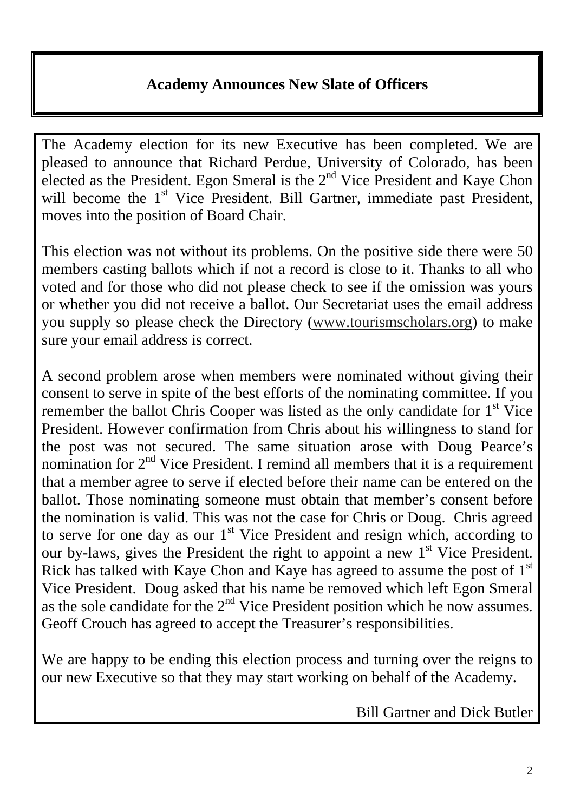# **Academy Announces New Slate of Officers**

The Academy election for its new Executive has been completed. We are pleased to announce that Richard Perdue, University of Colorado, has been elected as the President. Egon Smeral is the  $2<sup>nd</sup>$  Vice President and Kaye Chon will become the 1<sup>st</sup> Vice President. Bill Gartner, immediate past President, moves into the position of Board Chair.

This election was not without its problems. On the positive side there were 50 members casting ballots which if not a record is close to it. Thanks to all who voted and for those who did not please check to see if the omission was yours or whether you did not receive a ballot. Our Secretariat uses the email address you supply so please check the Directory (www.tourismscholars.org) to make sure your email address is correct.

A second problem arose when members were nominated without giving their consent to serve in spite of the best efforts of the nominating committee. If you remember the ballot Chris Cooper was listed as the only candidate for 1<sup>st</sup> Vice President. However confirmation from Chris about his willingness to stand for the post was not secured. The same situation arose with Doug Pearce's nomination for  $2<sup>nd</sup>$  Vice President. I remind all members that it is a requirement that a member agree to serve if elected before their name can be entered on the ballot. Those nominating someone must obtain that member's consent before the nomination is valid. This was not the case for Chris or Doug. Chris agreed to serve for one day as our 1<sup>st</sup> Vice President and resign which, according to our by-laws, gives the President the right to appoint a new  $1<sup>st</sup>$  Vice President. Rick has talked with Kaye Chon and Kaye has agreed to assume the post of  $1<sup>st</sup>$ Vice President. Doug asked that his name be removed which left Egon Smeral as the sole candidate for the  $2<sup>nd</sup>$  Vice President position which he now assumes. Geoff Crouch has agreed to accept the Treasurer's responsibilities.

We are happy to be ending this election process and turning over the reigns to our new Executive so that they may start working on behalf of the Academy.

Bill Gartner and Dick Butler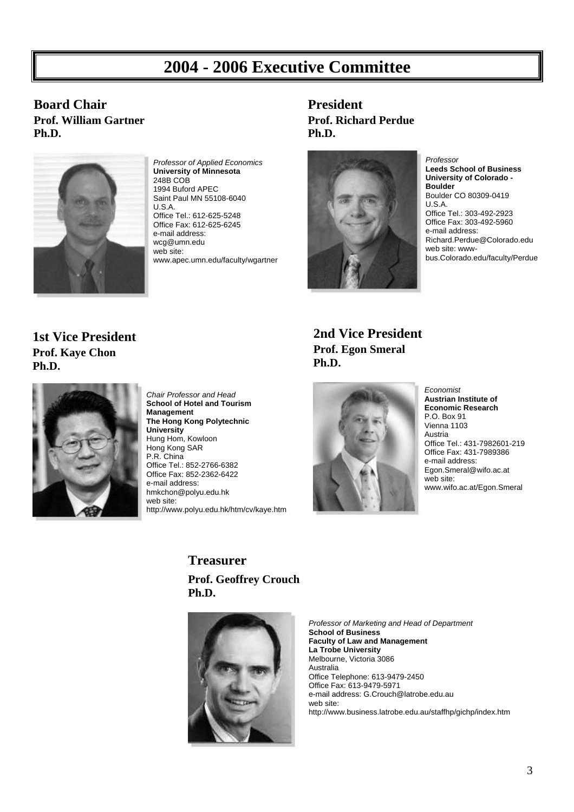# **2004 - 2006 Executive Committee**

**Board Chair Prof. William Gartner Ph.D.** 



*Professor of Applied Economics*  **University of Minnesota**  248B COB 1994 Buford APEC Saint Paul MN 55108-6040 U.S.A. Office Tel.: 612-625-5248

Office Fax: 612-625-6245 e-mail address: wcg@umn.edu web site: www.apec.umn.edu/faculty/wgartner

## **President Prof. Richard Perdue Ph.D.**



*Professor*  **Leeds School of Business University of Colorado - Boulder**  Boulder CO 80309-0419 U.S.A. Office Tel.: 303-492-2923 Office Fax: 303-492-5960 e-mail address: Richard.Perdue@Colorado.edu web site: wwwbus.Colorado.edu/faculty/Perdue

## **1st Vice President Prof. Kaye Chon Ph.D.**



*Chair Professor and Head*  **School of Hotel and Tourism Management The Hong Kong Polytechnic University**  Hung Hom, Kowloon Hong Kong SAR P.R. China Office Tel.: 852-2766-6382 Office Fax: 852-2362-6422 e-mail address: hmkchon@polyu.edu.hk web site: http://www.polyu.edu.hk/htm/cv/kaye.htm

**2nd Vice President Prof. Egon Smeral Ph.D.** 



*Economist*  **Austrian Institute of Economic Research** P.O. Box 91 Vienna 1103 Austria Office Tel.: 431-7982601-219 Office Fax: 431-7989386 e-mail address: Egon.Smeral@wifo.ac.at web site: www.wifo.ac.at/Egon.Smeral

**Treasurer**

**Prof. Geoffrey Crouch Ph.D.** 



*Professor of Marketing and Head of Department*  **School of Business Faculty of Law and Management La Trobe University** Melbourne, Victoria 3086 Australia Office Telephone: 613-9479-2450 Office Fax: 613-9479-5971 e-mail address: G.Crouch@latrobe.edu.au web site: http://www.business.latrobe.edu.au/staffhp/gichp/index.htm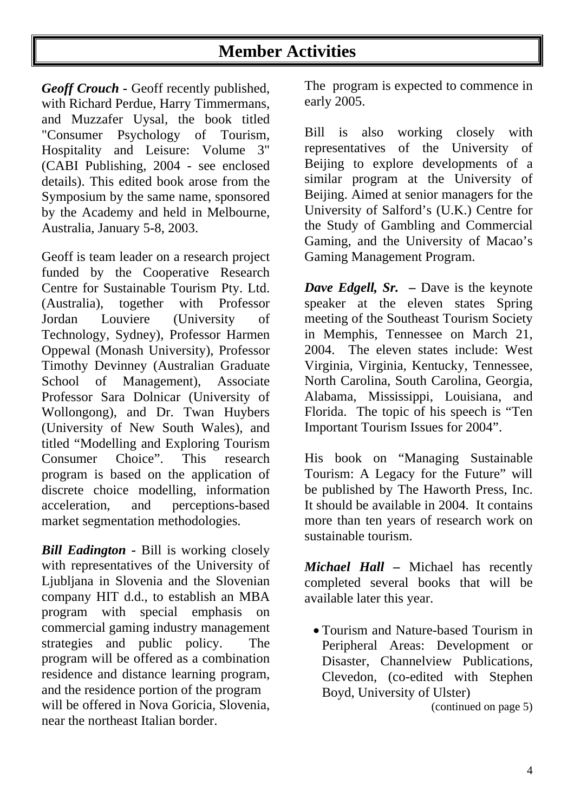# **Member Activities**

*Geoff Crouch -* Geoff recently published, with Richard Perdue, Harry Timmermans, and Muzzafer Uysal*,* the book titled "Consumer Psychology of Tourism, Hospitality and Leisure: Volume 3" (CABI Publishing, 2004 - see enclosed details). This edited book arose from the Symposium by the same name, sponsored by the Academy and held in Melbourne, Australia, January 5-8, 2003.

Geoff is team leader on a research project funded by the Cooperative Research Centre for Sustainable Tourism Pty. Ltd. (Australia), together with Professor Jordan Louviere (University of Technology, Sydney), Professor Harmen Oppewal (Monash University), Professor Timothy Devinney (Australian Graduate School of Management), Associate Professor Sara Dolnicar (University of Wollongong), and Dr. Twan Huybers (University of New South Wales), and titled "Modelling and Exploring Tourism Consumer Choice". This research program is based on the application of discrete choice modelling, information acceleration, and perceptions-based market segmentation methodologies.

*Bill Eadington - Bill is working closely* with representatives of the University of Ljubljana in Slovenia and the Slovenian company HIT d.d., to establish an MBA program with special emphasis on commercial gaming industry management strategies and public policy. The program will be offered as a combination residence and distance learning program, and the residence portion of the program will be offered in Nova Goricia, Slovenia, near the northeast Italian border.

The program is expected to commence in early 2005.

Bill is also working closely with representatives of the University of Beijing to explore developments of a similar program at the University of Beijing. Aimed at senior managers for the University of Salford's (U.K.) Centre for the Study of Gambling and Commercial Gaming, and the University of Macao's Gaming Management Program.

*Dave Edgell, Sr. –* Dave is the keynote speaker at the eleven states Spring meeting of the Southeast Tourism Society in Memphis, Tennessee on March 21, 2004. The eleven states include: West Virginia, Virginia, Kentucky, Tennessee, North Carolina, South Carolina, Georgia, Alabama, Mississippi, Louisiana, and Florida. The topic of his speech is "Ten Important Tourism Issues for 2004".

His book on "Managing Sustainable Tourism: A Legacy for the Future" will be published by The Haworth Press, Inc. It should be available in 2004. It contains more than ten years of research work on sustainable tourism.

*Michael Hall –* Michael has recently completed several books that will be available later this year.

• Tourism and Nature-based Tourism in Peripheral Areas: Development or Disaster, Channelview Publications, Clevedon, (co-edited with Stephen Boyd, University of Ulster)

(continued on page 5)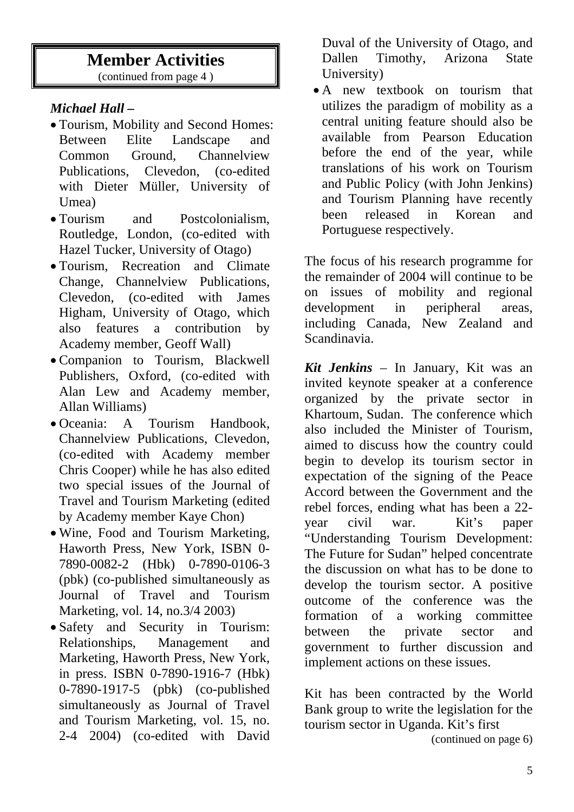# **Member Activities**

(continued from page 4 )

## *Michael Hall –*

- Tourism, Mobility and Second Homes: Between Elite Landscape and Common Ground, Channelview Publications, Clevedon, (co-edited with Dieter Müller, University of Umea)
- Tourism and Postcolonialism, Routledge, London, (co-edited with Hazel Tucker, University of Otago)
- Tourism, Recreation and Climate Change, Channelview Publications, Clevedon, (co-edited with James Higham, University of Otago, which also features a contribution by Academy member, Geoff Wall)
- Companion to Tourism, Blackwell Publishers, Oxford, (co-edited with Alan Lew and Academy member, Allan Williams)
- Oceania: A Tourism Handbook, Channelview Publications, Clevedon, (co-edited with Academy member Chris Cooper) while he has also edited two special issues of the Journal of Travel and Tourism Marketing (edited by Academy member Kaye Chon)
- Wine, Food and Tourism Marketing, Haworth Press, New York, ISBN 0- 7890-0082-2 (Hbk) 0-7890-0106-3 (pbk) (co-published simultaneously as Journal of Travel and Tourism Marketing, vol. 14, no.3/4 2003)
- Safety and Security in Tourism: Relationships, Management and Marketing, Haworth Press, New York, in press. ISBN 0-7890-1916-7 (Hbk) 0-7890-1917-5 (pbk) (co-published simultaneously as Journal of Travel and Tourism Marketing, vol. 15, no. 2-4 2004) (co-edited with David

Duval of the University of Otago, and Dallen Timothy, Arizona State University)

• A new textbook on tourism that utilizes the paradigm of mobility as a central uniting feature should also be available from Pearson Education before the end of the year, while translations of his work on Tourism and Public Policy (with John Jenkins) and Tourism Planning have recently been released in Korean and Portuguese respectively.

The focus of his research programme for the remainder of 2004 will continue to be on issues of mobility and regional development in peripheral areas, including Canada, New Zealand and Scandinavia.

*Kit Jenkins* – In January, Kit was an invited keynote speaker at a conference organized by the private sector in Khartoum, Sudan. The conference which also included the Minister of Tourism, aimed to discuss how the country could begin to develop its tourism sector in expectation of the signing of the Peace Accord between the Government and the rebel forces, ending what has been a 22 year civil war. Kit's paper "Understanding Tourism Development: The Future for Sudan" helped concentrate the discussion on what has to be done to develop the tourism sector. A positive outcome of the conference was the formation of a working committee between the private sector and government to further discussion and implement actions on these issues.

Kit has been contracted by the World Bank group to write the legislation for the tourism sector in Uganda. Kit's first

(continued on page 6)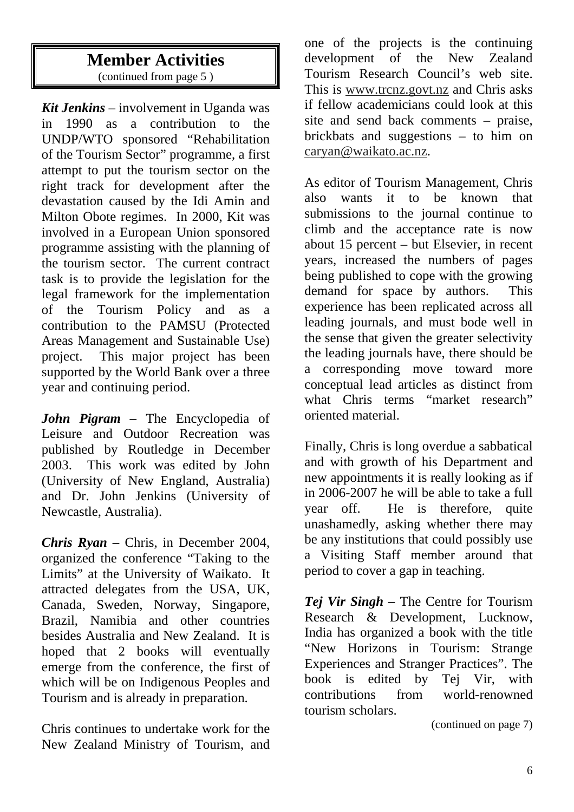## **Member Activities**  (continued from page 5 )

*Kit Jenkins* – involvement in Uganda was in 1990 as a contribution to the UNDP/WTO sponsored "Rehabilitation of the Tourism Sector" programme, a first attempt to put the tourism sector on the right track for development after the devastation caused by the Idi Amin and Milton Obote regimes. In 2000, Kit was involved in a European Union sponsored programme assisting with the planning of the tourism sector. The current contract task is to provide the legislation for the legal framework for the implementation of the Tourism Policy and as a contribution to the PAMSU (Protected Areas Management and Sustainable Use) project. This major project has been supported by the World Bank over a three year and continuing period.

*John Pigram –* The Encyclopedia of Leisure and Outdoor Recreation was published by Routledge in December 2003. This work was edited by John (University of New England, Australia) and Dr. John Jenkins (University of Newcastle, Australia).

*Chris Ryan –* Chris, in December 2004, organized the conference "Taking to the Limits" at the University of Waikato. It attracted delegates from the USA, UK, Canada, Sweden, Norway, Singapore, Brazil, Namibia and other countries besides Australia and New Zealand. It is hoped that 2 books will eventually emerge from the conference, the first of which will be on Indigenous Peoples and Tourism and is already in preparation.

Chris continues to undertake work for the New Zealand Ministry of Tourism, and

one of the projects is the continuing development of the New Zealand Tourism Research Council's web site. This is www.trcnz.govt.nz and Chris asks if fellow academicians could look at this site and send back comments – praise, brickbats and suggestions – to him on caryan@waikato.ac.nz.

As editor of Tourism Management, Chris also wants it to be known that submissions to the journal continue to climb and the acceptance rate is now about 15 percent – but Elsevier, in recent years, increased the numbers of pages being published to cope with the growing demand for space by authors. This experience has been replicated across all leading journals, and must bode well in the sense that given the greater selectivity the leading journals have, there should be a corresponding move toward more conceptual lead articles as distinct from what Chris terms "market research" oriented material.

Finally, Chris is long overdue a sabbatical and with growth of his Department and new appointments it is really looking as if in 2006-2007 he will be able to take a full year off. He is therefore, quite unashamedly, asking whether there may be any institutions that could possibly use a Visiting Staff member around that period to cover a gap in teaching.

*Tej Vir Singh –* The Centre for Tourism Research & Development, Lucknow, India has organized a book with the title "New Horizons in Tourism: Strange Experiences and Stranger Practices". The book is edited by Tej Vir, with contributions from world-renowned tourism scholars.

(continued on page 7)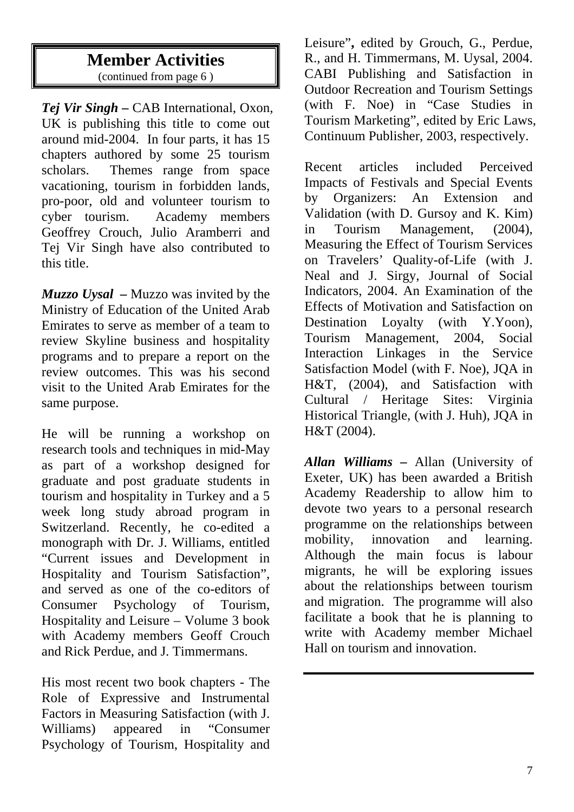## **Member Activities**  (continued from page 6 )

*Tej Vir Singh –* CAB International, Oxon, UK is publishing this title to come out around mid-2004. In four parts, it has 15 chapters authored by some 25 tourism scholars. Themes range from space vacationing, tourism in forbidden lands, pro-poor, old and volunteer tourism to cyber tourism. Academy members Geoffrey Crouch, Julio Aramberri and Tej Vir Singh have also contributed to this title.

*Muzzo Uysal –* Muzzo was invited by the Ministry of Education of the United Arab Emirates to serve as member of a team to review Skyline business and hospitality programs and to prepare a report on the review outcomes. This was his second visit to the United Arab Emirates for the same purpose.

He will be running a workshop on research tools and techniques in mid-May as part of a workshop designed for graduate and post graduate students in tourism and hospitality in Turkey and a 5 week long study abroad program in Switzerland. Recently, he co-edited a monograph with Dr. J. Williams, entitled "Current issues and Development in Hospitality and Tourism Satisfaction", and served as one of the co-editors of Consumer Psychology of Tourism, Hospitality and Leisure – Volume 3 book with Academy members Geoff Crouch and Rick Perdue, and J. Timmermans.

His most recent two book chapters - The Role of Expressive and Instrumental Factors in Measuring Satisfaction (with J. Williams) appeared in "Consumer Psychology of Tourism, Hospitality and

Leisure"**,** edited by Grouch, G., Perdue, R., and H. Timmermans, M. Uysal, 2004. CABI Publishing and Satisfaction in Outdoor Recreation and Tourism Settings (with F. Noe) in "Case Studies in Tourism Marketing", edited by Eric Laws, Continuum Publisher, 2003, respectively.

Recent articles included Perceived Impacts of Festivals and Special Events by Organizers: An Extension and Validation (with D. Gursoy and K. Kim) in Tourism Management, (2004), Measuring the Effect of Tourism Services on Travelers' Quality-of-Life (with J. Neal and J. Sirgy, Journal of Social Indicators, 2004. An Examination of the Effects of Motivation and Satisfaction on Destination Loyalty (with Y.Yoon), Tourism Management, 2004, Social Interaction Linkages in the Service Satisfaction Model (with F. Noe), JQA in H&T, (2004), and Satisfaction with Cultural / Heritage Sites: Virginia Historical Triangle, (with J. Huh), JQA in H&T (2004).

*Allan Williams –* Allan (University of Exeter, UK) has been awarded a British Academy Readership to allow him to devote two years to a personal research programme on the relationships between mobility, innovation and learning. Although the main focus is labour migrants, he will be exploring issues about the relationships between tourism and migration. The programme will also facilitate a book that he is planning to write with Academy member Michael Hall on tourism and innovation.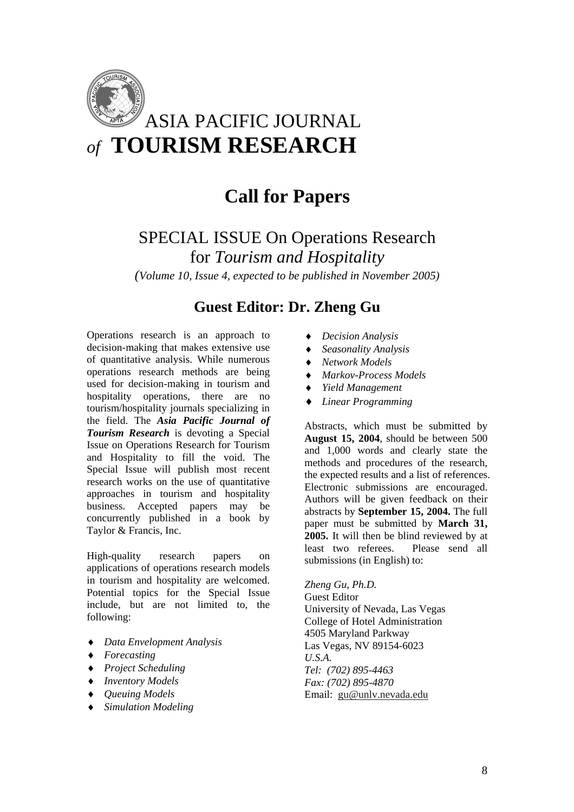

# **Call for Papers**

SPECIAL ISSUE On Operations Research for *Tourism and Hospitality* 

*(Volume 10, Issue 4, expected to be published in November 2005)*

## **Guest Editor: Dr. Zheng Gu**

Operations research is an approach to decision-making that makes extensive use of quantitative analysis. While numerous operations research methods are being used for decision-making in tourism and hospitality operations, there are no tourism/hospitality journals specializing in the field. The *Asia Pacific Journal of Tourism Research* is devoting a Special Issue on Operations Research for Tourism and Hospitality to fill the void. The Special Issue will publish most recent research works on the use of quantitative approaches in tourism and hospitality business. Accepted papers may be concurrently published in a book by Taylor & Francis, Inc.

High-quality research papers on applications of operations research models in tourism and hospitality are welcomed. Potential topics for the Special Issue include, but are not limited to, the following:

- ♦ *Data Envelopment Analysis*
- ♦ *Forecasting*
- ♦ *Project Scheduling*
- ♦ *Inventory Models*
- ♦ *Queuing Models*
- ♦ *Simulation Modeling*
- ♦ *Decision Analysis*
- ♦ *Seasonality Analysis*
- ♦ *Network Models*
- ♦ *Markov-Process Models*
- ♦ *Yield Management*
- ♦ *Linear Programming*

Abstracts, which must be submitted by **August 15, 2004**, should be between 500 and 1,000 words and clearly state the methods and procedures of the research, the expected results and a list of references. Electronic submissions are encouraged. Authors will be given feedback on their abstracts by **September 15, 2004.** The full paper must be submitted by **March 31, 2005.** It will then be blind reviewed by at least two referees. Please send all submissions (in English) to:

*Zheng Gu, Ph.D.* 

Guest Editor University of Nevada, Las Vegas College of Hotel Administration 4505 Maryland Parkway Las Vegas, NV 89154-6023 *U.S.A. Tel: (702) 895-4463 Fax: (702) 895-4870*  Email: gu@unlv.nevada.edu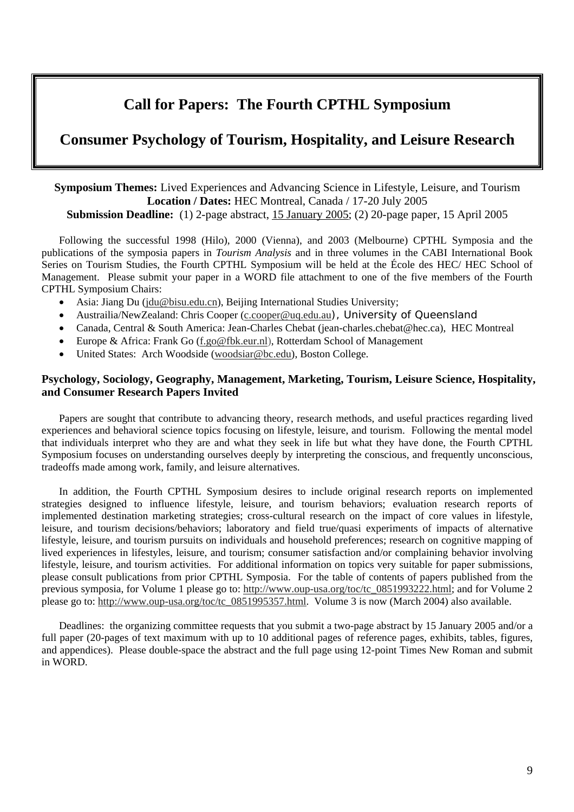# **Call for Papers: The Fourth CPTHL Symposium**

## **Consumer Psychology of Tourism, Hospitality, and Leisure Research**

#### **Symposium Themes:** Lived Experiences and Advancing Science in Lifestyle, Leisure, and Tourism **Location / Dates:** HEC Montreal, Canada / 17-20 July 2005 **Submission Deadline:** (1) 2-page abstract, 15 January 2005; (2) 20-page paper, 15 April 2005

Following the successful 1998 (Hilo), 2000 (Vienna), and 2003 (Melbourne) CPTHL Symposia and the publications of the symposia papers in *Tourism Analysis* and in three volumes in the CABI International Book Series on Tourism Studies, the Fourth CPTHL Symposium will be held at the École des HEC/ HEC School of Management. Please submit your paper in a WORD file attachment to one of the five members of the Fourth CPTHL Symposium Chairs:

- Asia: Jiang Du (jdu@bisu.edu.cn), Beijing International Studies University;
- Austrailia/NewZealand: Chris Cooper (c.cooper@uq.edu.au), University of Queensland
- Canada, Central & South America: Jean-Charles Chebat (jean-charles.chebat@hec.ca), HEC Montreal
- Europe & Africa: Frank Go (f.go@fbk.eur.nl), Rotterdam School of Management
- United States: Arch Woodside (woodsiar@bc.edu), Boston College.

#### **Psychology, Sociology, Geography, Management, Marketing, Tourism, Leisure Science, Hospitality, and Consumer Research Papers Invited**

Papers are sought that contribute to advancing theory, research methods, and useful practices regarding lived experiences and behavioral science topics focusing on lifestyle, leisure, and tourism. Following the mental model that individuals interpret who they are and what they seek in life but what they have done, the Fourth CPTHL Symposium focuses on understanding ourselves deeply by interpreting the conscious, and frequently unconscious, tradeoffs made among work, family, and leisure alternatives.

In addition, the Fourth CPTHL Symposium desires to include original research reports on implemented strategies designed to influence lifestyle, leisure, and tourism behaviors; evaluation research reports of implemented destination marketing strategies; cross-cultural research on the impact of core values in lifestyle, leisure, and tourism decisions/behaviors; laboratory and field true/quasi experiments of impacts of alternative lifestyle, leisure, and tourism pursuits on individuals and household preferences; research on cognitive mapping of lived experiences in lifestyles, leisure, and tourism; consumer satisfaction and/or complaining behavior involving lifestyle, leisure, and tourism activities. For additional information on topics very suitable for paper submissions, please consult publications from prior CPTHL Symposia. For the table of contents of papers published from the previous symposia, for Volume 1 please go to: http://www.oup-usa.org/toc/tc\_0851993222.html; and for Volume 2 please go to: http://www.oup-usa.org/toc/tc\_0851995357.html. Volume 3 is now (March 2004) also available.

Deadlines: the organizing committee requests that you submit a two-page abstract by 15 January 2005 and/or a full paper (20-pages of text maximum with up to 10 additional pages of reference pages, exhibits, tables, figures, and appendices). Please double-space the abstract and the full page using 12-point Times New Roman and submit in WORD.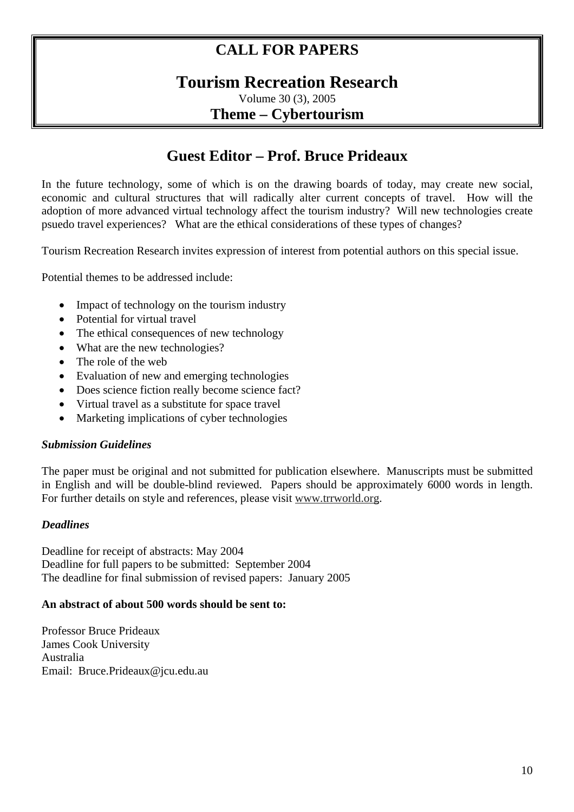# **CALL FOR PAPERS**

# **Tourism Recreation Research**

Volume 30 (3), 2005 **Theme – Cybertourism** 

# **Guest Editor – Prof. Bruce Prideaux**

In the future technology, some of which is on the drawing boards of today, may create new social, economic and cultural structures that will radically alter current concepts of travel. How will the adoption of more advanced virtual technology affect the tourism industry? Will new technologies create psuedo travel experiences? What are the ethical considerations of these types of changes?

Tourism Recreation Research invites expression of interest from potential authors on this special issue.

Potential themes to be addressed include:

- Impact of technology on the tourism industry
- Potential for virtual travel
- The ethical consequences of new technology
- What are the new technologies?
- The role of the web
- Evaluation of new and emerging technologies
- Does science fiction really become science fact?
- Virtual travel as a substitute for space travel
- Marketing implications of cyber technologies

#### *Submission Guidelines*

The paper must be original and not submitted for publication elsewhere. Manuscripts must be submitted in English and will be double-blind reviewed. Papers should be approximately 6000 words in length. For further details on style and references, please visit www.trrworld.org.

#### *Deadlines*

Deadline for receipt of abstracts: May 2004 Deadline for full papers to be submitted: September 2004 The deadline for final submission of revised papers: January 2005

#### **An abstract of about 500 words should be sent to:**

Professor Bruce Prideaux James Cook University Australia Email: Bruce.Prideaux@jcu.edu.au